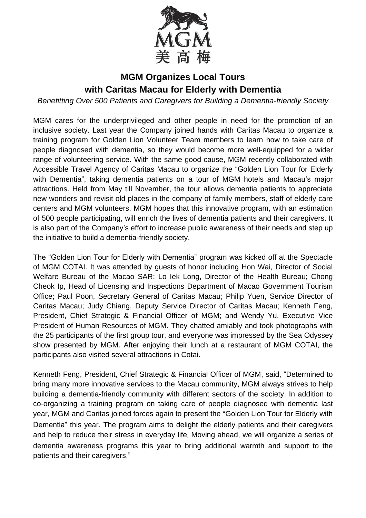

## **MGM Organizes Local Tours with Caritas Macau for Elderly with Dementia**

*Benefitting Over 500 Patients and Caregivers for Building a Dementia-friendly Society* 

MGM cares for the underprivileged and other people in need for the promotion of an inclusive society. Last year the Company joined hands with Caritas Macau to organize a training program for Golden Lion Volunteer Team members to learn how to take care of people diagnosed with dementia, so they would become more well-equipped for a wider range of volunteering service. With the same good cause, MGM recently collaborated with Accessible Travel Agency of Caritas Macau to organize the "Golden Lion Tour for Elderly with Dementia", taking dementia patients on a tour of MGM hotels and Macau's major attractions. Held from May till November, the tour allows dementia patients to appreciate new wonders and revisit old places in the company of family members, staff of elderly care centers and MGM volunteers. MGM hopes that this innovative program, with an estimation of 500 people participating, will enrich the lives of dementia patients and their caregivers. It is also part of the Company's effort to increase public awareness of their needs and step up the initiative to build a dementia-friendly society.

The "Golden Lion Tour for Elderly with Dementia" program was kicked off at the Spectacle of MGM COTAI. It was attended by guests of honor including Hon Wai, Director of Social Welfare Bureau of the Macao SAR; Lo Iek Long, Director of the Health Bureau; Chong Cheok Ip, Head of Licensing and Inspections Department of Macao Government Tourism Office; Paul Poon, Secretary General of Caritas Macau; Philip Yuen, Service Director of Caritas Macau; Judy Chiang, Deputy Service Director of Caritas Macau; Kenneth Feng, President, Chief Strategic & Financial Officer of MGM; and Wendy Yu, Executive Vice President of Human Resources of MGM. They chatted amiably and took photographs with the 25 participants of the first group tour, and everyone was impressed by the Sea Odyssey show presented by MGM. After enjoying their lunch at a restaurant of MGM COTAI, the participants also visited several attractions in Cotai.

Kenneth Feng, President, Chief Strategic & Financial Officer of MGM, said, "Determined to bring many more innovative services to the Macau community, MGM always strives to help building a dementia-friendly community with different sectors of the society. In addition to co-organizing a training program on taking care of people diagnosed with dementia last year, MGM and Caritas joined forces again to present the "Golden Lion Tour for Elderly with Dementia" this year. The program aims to delight the elderly patients and their caregivers and help to reduce their stress in everyday life. Moving ahead, we will organize a series of dementia awareness programs this year to bring additional warmth and support to the patients and their caregivers."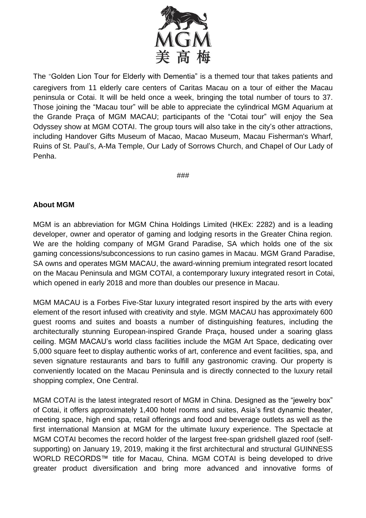

The "Golden Lion Tour for Elderly with Dementia" is a themed tour that takes patients and caregivers from 11 elderly care centers of Caritas Macau on a tour of either the Macau peninsula or Cotai. It will be held once a week, bringing the total number of tours to 37. Those joining the "Macau tour" will be able to appreciate the cylindrical MGM Aquarium at the Grande Praça of MGM MACAU; participants of the "Cotai tour" will enjoy the Sea Odyssey show at MGM COTAI. The group tours will also take in the city's other attractions, including Handover Gifts Museum of Macao, Macao Museum, Macau Fisherman's Wharf, Ruins of St. Paul's, A-Ma Temple, Our Lady of Sorrows Church, and Chapel of Our Lady of Penha.

###

## **About MGM**

MGM is an abbreviation for MGM China Holdings Limited (HKEx: 2282) and is a leading developer, owner and operator of gaming and lodging resorts in the Greater China region. We are the holding company of MGM Grand Paradise, SA which holds one of the six gaming concessions/subconcessions to run casino games in Macau. MGM Grand Paradise, SA owns and operates MGM MACAU, the award-winning premium integrated resort located on the Macau Peninsula and MGM COTAI, a contemporary luxury integrated resort in Cotai, which opened in early 2018 and more than doubles our presence in Macau.

MGM MACAU is a Forbes Five-Star luxury integrated resort inspired by the arts with every element of the resort infused with creativity and style. MGM MACAU has approximately 600 guest rooms and suites and boasts a number of distinguishing features, including the architecturally stunning European-inspired Grande Praça, housed under a soaring glass ceiling. MGM MACAU's world class facilities include the MGM Art Space, dedicating over 5,000 square feet to display authentic works of art, conference and event facilities, spa, and seven signature restaurants and bars to fulfill any gastronomic craving. Our property is conveniently located on the Macau Peninsula and is directly connected to the luxury retail shopping complex, One Central.

MGM COTAI is the latest integrated resort of MGM in China. Designed as the "jewelry box" of Cotai, it offers approximately 1,400 hotel rooms and suites, Asia's first dynamic theater, meeting space, high end spa, retail offerings and food and beverage outlets as well as the first international Mansion at MGM for the ultimate luxury experience. The Spectacle at MGM COTAI becomes the record holder of the largest free-span gridshell glazed roof (selfsupporting) on January 19, 2019, making it the first architectural and structural GUINNESS WORLD RECORDS™ title for Macau, China. MGM COTAI is being developed to drive greater product diversification and bring more advanced and innovative forms of